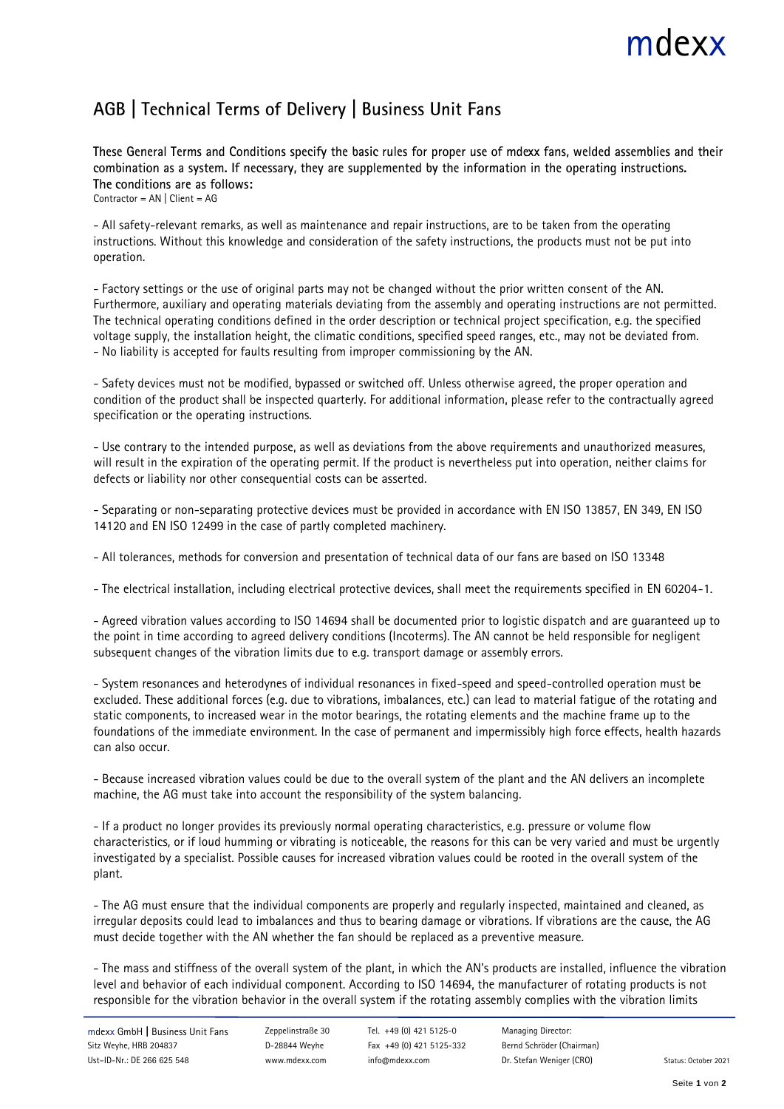## mdexx

## AGB | Technical Terms of Delivery | Business Unit Fans

These General Terms and Conditions specify the basic rules for proper use of mdexx fans, welded assemblies and their combination as a system. If necessary, they are supplemented by the information in the operating instructions. The conditions are as follows: Contractor = AN | Client = AG

- All safety-relevant remarks, as well as maintenance and repair instructions, are to be taken from the operating instructions. Without this knowledge and consideration of the safety instructions, the products must not be put into operation.

- Factory settings or the use of original parts may not be changed without the prior written consent of the AN. Furthermore, auxiliary and operating materials deviating from the assembly and operating instructions are not permitted. The technical operating conditions defined in the order description or technical project specification, e.g. the specified voltage supply, the installation height, the climatic conditions, specified speed ranges, etc., may not be deviated from. - No liability is accepted for faults resulting from improper commissioning by the AN.

- Safety devices must not be modified, bypassed or switched off. Unless otherwise agreed, the proper operation and condition of the product shall be inspected quarterly. For additional information, please refer to the contractually agreed specification or the operating instructions.

- Use contrary to the intended purpose, as well as deviations from the above requirements and unauthorized measures, will result in the expiration of the operating permit. If the product is nevertheless put into operation, neither claims for defects or liability nor other consequential costs can be asserted.

- Separating or non-separating protective devices must be provided in accordance with EN ISO 13857, EN 349, EN ISO 14120 and EN ISO 12499 in the case of partly completed machinery.

- All tolerances, methods for conversion and presentation of technical data of our fans are based on ISO 13348

- The electrical installation, including electrical protective devices, shall meet the requirements specified in EN 60204-1.

- Agreed vibration values according to ISO 14694 shall be documented prior to logistic dispatch and are guaranteed up to the point in time according to agreed delivery conditions (Incoterms). The AN cannot be held responsible for negligent subsequent changes of the vibration limits due to e.g. transport damage or assembly errors.

- System resonances and heterodynes of individual resonances in fixed-speed and speed-controlled operation must be excluded. These additional forces (e.g. due to vibrations, imbalances, etc.) can lead to material fatigue of the rotating and static components, to increased wear in the motor bearings, the rotating elements and the machine frame up to the foundations of the immediate environment. In the case of permanent and impermissibly high force effects, health hazards can also occur.

- Because increased vibration values could be due to the overall system of the plant and the AN delivers an incomplete machine, the AG must take into account the responsibility of the system balancing.

- If a product no longer provides its previously normal operating characteristics, e.g. pressure or volume flow characteristics, or if loud humming or vibrating is noticeable, the reasons for this can be very varied and must be urgently investigated by a specialist. Possible causes for increased vibration values could be rooted in the overall system of the plant.

- The AG must ensure that the individual components are properly and regularly inspected, maintained and cleaned, as irregular deposits could lead to imbalances and thus to bearing damage or vibrations. If vibrations are the cause, the AG must decide together with the AN whether the fan should be replaced as a preventive measure.

- The mass and stiffness of the overall system of the plant, in which the AN's products are installed, influence the vibration level and behavior of each individual component. According to ISO 14694, the manufacturer of rotating products is not responsible for the vibration behavior in the overall system if the rotating assembly complies with the vibration limits

D-28844 Weyhe D-28844 Weyhe [www.mdexx.com](http://www.mdexx.com/)